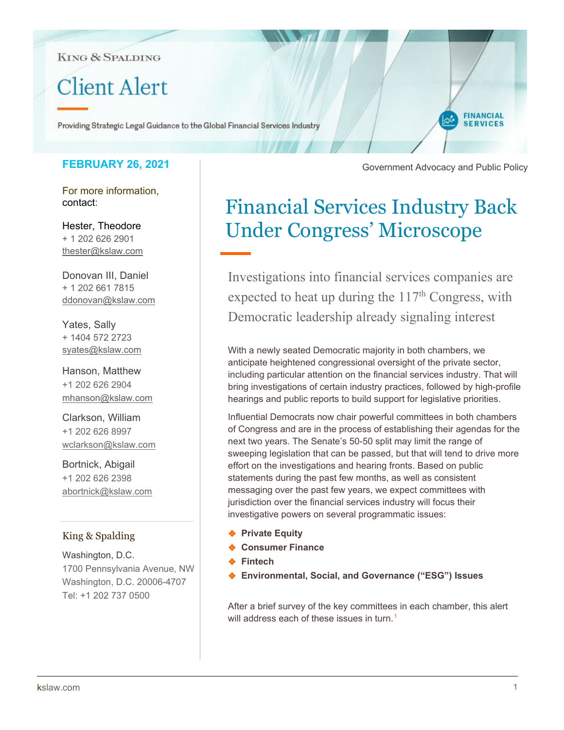**KING & SPALDING** 

# **Client Alert**

Providing Strategic Legal Guidance to the Global Financial Services Industry

# **FEBRUARY 26, 2021**

For more information, contact:

Hester, Theodore + 1 202 626 2901 [thester@kslaw.com](mailto:thester@kslaw.com)

Donovan III, Daniel + 1 202 661 7815 [ddonovan@kslaw.com](mailto:ddonovan@kslaw.com)

Yates, Sally + 1404 572 2723 [syates@kslaw.com](mailto:syates@kslaw.com)

Hanson, Matthew +1 202 626 2904 [mhanson@kslaw.com](mailto:mhanson@kslaw.com)

Clarkson, William +1 202 626 8997 wclarkson@kslaw.com

Bortnick, Abigail +1 202 626 2398 abortnick@kslaw.com

# King & Spalding

Washington, D.C. 1700 Pennsylvania Avenue, NW Washington, D.C. 20006-4707 Tel: +1 202 737 0500

Government Advocacy and Public Policy

**FINANCIAL SERVICES** 

# Financial Services Industry Back Under Congress' Microscope

Investigations into financial services companies are expected to heat up during the  $117<sup>th</sup>$  Congress, with Democratic leadership already signaling interest

With a newly seated Democratic majority in both chambers, we anticipate heightened congressional oversight of the private sector, including particular attention on the financial services industry. That will bring investigations of certain industry practices, followed by high-profile hearings and public reports to build support for legislative priorities.

Influential Democrats now chair powerful committees in both chambers of Congress and are in the process of establishing their agendas for the next two years. The Senate's 50-50 split may limit the range of sweeping legislation that can be passed, but that will tend to drive more effort on the investigations and hearing fronts. Based on public statements during the past few months, as well as consistent messaging over the past few years, we expect committees with jurisdiction over the financial services industry will focus their investigative powers on several programmatic issues:

- ❖ **Private Equity**
- ❖ **Consumer Finance**
- ❖ **Fintech**
- ❖ **Environmental, Social, and Governance ("ESG") Issues**

After a brief survey of the key committees in each chamber, this alert will address each of these issues in turn.<sup>[1](#page-5-0)</sup>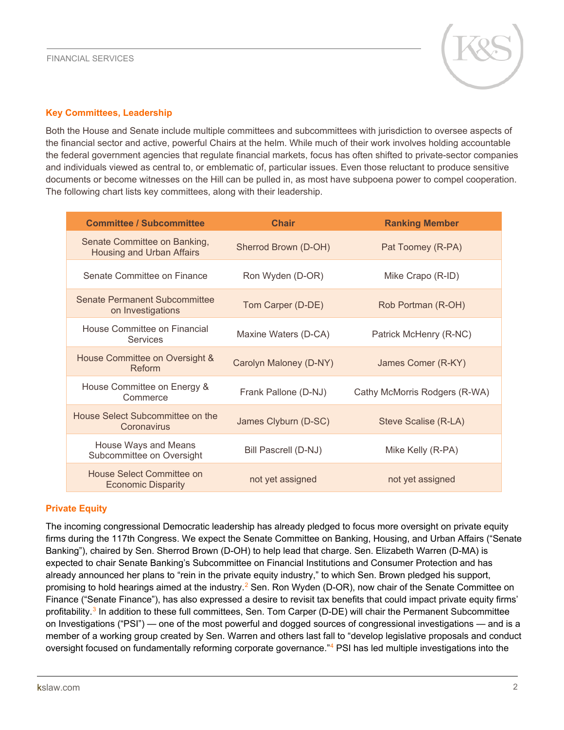

## **Key Committees, Leadership**

Both the House and Senate include multiple committees and subcommittees with jurisdiction to oversee aspects of the financial sector and active, powerful Chairs at the helm. While much of their work involves holding accountable the federal government agencies that regulate financial markets, focus has often shifted to private-sector companies and individuals viewed as central to, or emblematic of, particular issues. Even those reluctant to produce sensitive documents or become witnesses on the Hill can be pulled in, as most have subpoena power to compel cooperation. The following chart lists key committees, along with their leadership.

| <b>Committee / Subcommittee</b>                                  | <b>Chair</b>           | <b>Ranking Member</b>         |
|------------------------------------------------------------------|------------------------|-------------------------------|
| Senate Committee on Banking,<br><b>Housing and Urban Affairs</b> | Sherrod Brown (D-OH)   | Pat Toomey (R-PA)             |
| Senate Committee on Finance                                      | Ron Wyden (D-OR)       | Mike Crapo (R-ID)             |
| Senate Permanent Subcommittee<br>on Investigations               | Tom Carper (D-DE)      | Rob Portman (R-OH)            |
| House Committee on Financial<br><b>Services</b>                  | Maxine Waters (D-CA)   | Patrick McHenry (R-NC)        |
| House Committee on Oversight &<br>Reform                         | Carolyn Maloney (D-NY) | James Comer (R-KY)            |
| House Committee on Energy &<br>Commerce                          | Frank Pallone (D-NJ)   | Cathy McMorris Rodgers (R-WA) |
| House Select Subcommittee on the<br>Coronavirus                  | James Clyburn (D-SC)   | Steve Scalise (R-LA)          |
| House Ways and Means<br>Subcommittee on Oversight                | Bill Pascrell (D-NJ)   | Mike Kelly (R-PA)             |
| House Select Committee on<br><b>Economic Disparity</b>           | not yet assigned       | not yet assigned              |

## **Private Equity**

The incoming congressional Democratic leadership has already pledged to focus more oversight on private equity firms during the 117th Congress. We expect the Senate Committee on Banking, Housing, and Urban Affairs ("Senate Banking"), chaired by Sen. Sherrod Brown (D-OH) to help lead that charge. Sen. Elizabeth Warren (D-MA) is expected to chair Senate Banking's Subcommittee on Financial Institutions and Consumer Protection and has already announced her plans to "rein in the private equity industry," to which Sen. Brown pledged his support, promising to hold hearings aimed at the industry.[2](#page-5-1) Sen. Ron Wyden (D-OR), now chair of the Senate Committee on Finance ("Senate Finance"), has also expressed a desire to revisit tax benefits that could impact private equity firms' profitability.<sup>[3](#page-5-2)</sup> In addition to these full committees, Sen. Tom Carper (D-DE) will chair the Permanent Subcommittee on Investigations ("PSI") — one of the most powerful and dogged sources of congressional investigations — and is a member of a working group created by Sen. Warren and others last fall to "develop legislative proposals and conduct oversight focused on fundamentally reforming corporate governance."<sup>[4](#page-5-3)</sup> PSI has led multiple investigations into the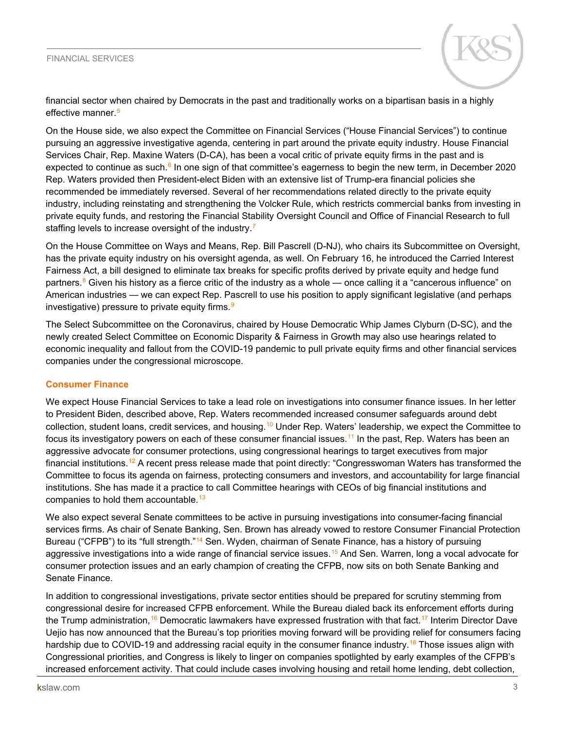#### FINANCIAL SERVICES



financial sector when chaired by Democrats in the past and traditionally works on a bipartisan basis in a highly effective manner.<sup>[5](#page-5-4)</sup>

On the House side, we also expect the Committee on Financial Services ("House Financial Services") to continue pursuing an aggressive investigative agenda, centering in part around the private equity industry. House Financial Services Chair, Rep. Maxine Waters (D-CA), has been a vocal critic of private equity firms in the past and is expected to continue as such. $6 \text{ In one sign of that committee's eagers to begin the new term, in December 2020$ Rep. Waters provided then President-elect Biden with an extensive list of Trump-era financial policies she recommended be immediately reversed. Several of her recommendations related directly to the private equity industry, including reinstating and strengthening the Volcker Rule, which restricts commercial banks from investing in private equity funds, and restoring the Financial Stability Oversight Council and Office of Financial Research to full staffing levels to increase oversight of the industry.<sup>[7](#page-5-6)</sup>

On the House Committee on Ways and Means, Rep. Bill Pascrell (D-NJ), who chairs its Subcommittee on Oversight, has the private equity industry on his oversight agenda, as well. On February 16, he introduced the Carried Interest Fairness Act, a bill designed to eliminate tax breaks for specific profits derived by private equity and hedge fund partners.<sup>[8](#page-5-7)</sup> Given his history as a fierce critic of the industry as a whole — once calling it a "cancerous influence" on American industries — we can expect Rep. Pascrell to use his position to apply significant legislative (and perhaps investigative) pressure to private equity firms.<sup>[9](#page-5-8)</sup>

The Select Subcommittee on the Coronavirus, chaired by House Democratic Whip James Clyburn (D-SC), and the newly created Select Committee on Economic Disparity & Fairness in Growth may also use hearings related to economic inequality and fallout from the COVID-19 pandemic to pull private equity firms and other financial services companies under the congressional microscope.

#### **Consumer Finance**

We expect House Financial Services to take a lead role on investigations into consumer finance issues. In her letter to President Biden, described above, Rep. Waters recommended increased consumer safeguards around debt collection, student loans, credit services, and housing.[10](#page-5-9) Under Rep. Waters' leadership, we expect the Committee to focus its investigatory powers on each of these consumer financial issues.<sup>[11](#page-5-10)</sup> In the past, Rep. Waters has been an aggressive advocate for consumer protections, using congressional hearings to target executives from major financial institutions.<sup>[12](#page-5-11)</sup> A recent press release made that point directly: "Congresswoman Waters has transformed the Committee to focus its agenda on fairness, protecting consumers and investors, and accountability for large financial institutions. She has made it a practice to call Committee hearings with CEOs of big financial institutions and companies to hold them accountable.<sup>[13](#page-5-12)</sup>

We also expect several Senate committees to be active in pursuing investigations into consumer-facing financial services firms. As chair of Senate Banking, Sen. Brown has already vowed to restore Consumer Financial Protection Bureau ("CFPB") to its "full strength."<sup>[14](#page-5-13)</sup> Sen. Wyden, chairman of Senate Finance, has a history of pursuing aggressive investigations into a wide range of financial service issues.<sup>[15](#page-5-14)</sup> And Sen. Warren, long a vocal advocate for consumer protection issues and an early champion of creating the CFPB, now sits on both Senate Banking and Senate Finance.

In addition to congressional investigations, private sector entities should be prepared for scrutiny stemming from congressional desire for increased CFPB enforcement. While the Bureau dialed back its enforcement efforts during the Trump administration,<sup>[16](#page-5-15)</sup> Democratic lawmakers have expressed frustration with that fact.<sup>[17](#page-5-16)</sup> Interim Director Dave Uejio has now announced that the Bureau's top priorities moving forward will be providing relief for consumers facing hardship due to COVID-19 and addressing racial equity in the consumer finance industry.<sup>[18](#page-5-17)</sup> Those issues align with Congressional priorities, and Congress is likely to linger on companies spotlighted by early examples of the CFPB's increased enforcement activity. That could include cases involving housing and retail home lending, debt collection,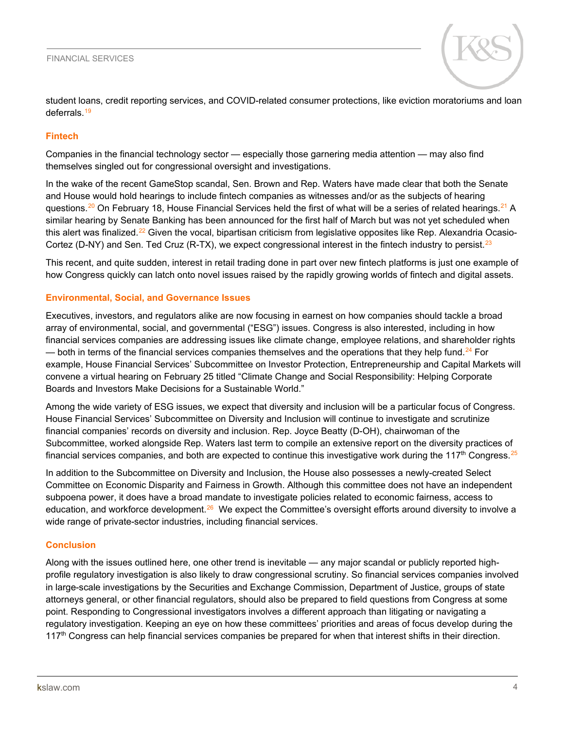

student loans, credit reporting services, and COVID-related consumer protections, like eviction moratoriums and loan deferrals.[19](#page-5-18)

## **Fintech**

Companies in the financial technology sector — especially those garnering media attention — may also find themselves singled out for congressional oversight and investigations.

In the wake of the recent GameStop scandal, Sen. Brown and Rep. Waters have made clear that both the Senate and House would hold hearings to include fintech companies as witnesses and/or as the subjects of hearing questions.<sup>[20](#page-5-19)</sup> On February 18, House Financial Services held the first of what will be a series of related hearings.<sup>[21](#page-5-20)</sup> A similar hearing by Senate Banking has been announced for the first half of March but was not yet scheduled when this alert was finalized.<sup>[22](#page-5-21)</sup> Given the vocal, bipartisan criticism from legislative opposites like Rep. Alexandria Ocasio-Cortez (D-NY) and Sen. Ted Cruz (R-TX), we expect congressional interest in the fintech industry to persist.<sup>[23](#page-5-22)</sup>

This recent, and quite sudden, interest in retail trading done in part over new fintech platforms is just one example of how Congress quickly can latch onto novel issues raised by the rapidly growing worlds of fintech and digital assets.

### **Environmental, Social, and Governance Issues**

Executives, investors, and regulators alike are now focusing in earnest on how companies should tackle a broad array of environmental, social, and governmental ("ESG") issues. Congress is also interested, including in how financial services companies are addressing issues like climate change, employee relations, and shareholder rights — both in terms of the financial services companies themselves and the operations that they help fund.<sup>24</sup> For example, House Financial Services' Subcommittee on Investor Protection, Entrepreneurship and Capital Markets will convene a virtual hearing on February 25 titled "Climate Change and Social Responsibility: Helping Corporate Boards and Investors Make Decisions for a Sustainable World."

Among the wide variety of ESG issues, we expect that diversity and inclusion will be a particular focus of Congress. House Financial Services' Subcommittee on Diversity and Inclusion will continue to investigate and scrutinize financial companies' records on diversity and inclusion. Rep. Joyce Beatty (D-OH), chairwoman of the Subcommittee, worked alongside Rep. Waters last term to compile an extensive report on the diversity practices of financial services companies, and both are expected to continue this investigative work during the 117<sup>th</sup> Congress.<sup>[25](#page-5-24)</sup>

In addition to the Subcommittee on Diversity and Inclusion, the House also possesses a newly-created Select Committee on Economic Disparity and Fairness in Growth. Although this committee does not have an independent subpoena power, it does have a broad mandate to investigate policies related to economic fairness, access to education, and workforce development.<sup>26</sup> We expect the Committee's oversight efforts around diversity to involve a wide range of private-sector industries, including financial services.

## **Conclusion**

Along with the issues outlined here, one other trend is inevitable — any major scandal or publicly reported highprofile regulatory investigation is also likely to draw congressional scrutiny. So financial services companies involved in large-scale investigations by the Securities and Exchange Commission, Department of Justice, groups of state attorneys general, or other financial regulators, should also be prepared to field questions from Congress at some point. Responding to Congressional investigators involves a different approach than litigating or navigating a regulatory investigation. Keeping an eye on how these committees' priorities and areas of focus develop during the 117<sup>th</sup> Congress can help financial services companies be prepared for when that interest shifts in their direction.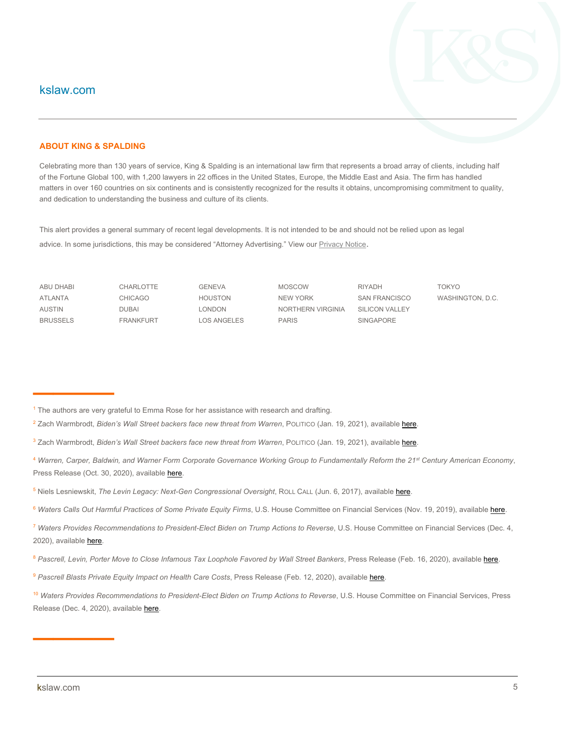# kslaw.com

#### **ABOUT KING & SPALDING**

Celebrating more than 130 years of service, King & Spalding is an international law firm that represents a broad array of clients, including half of the Fortune Global 100, with 1,200 lawyers in 22 offices in the United States, Europe, the Middle East and Asia. The firm has handled matters in over 160 countries on six continents and is consistently recognized for the results it obtains, uncompromising commitment to quality, and dedication to understanding the business and culture of its clients.

This alert provides a general summary of recent legal developments. It is not intended to be and should not be relied upon as legal advice. In some jurisdictions, this may be considered "Attorney Advertising." View ou[r Privacy Notice](https://www.kslaw.com/pages/privacy-notice).

————

ABU DHABI CHARLOTTE GENEVA MOSCOW RIYADH TOKYO ATLANTA CHICAGO HOUSTON NEW YORK SAN FRANCISCO WASHINGTON, D.C. AUSTIN DUBAI LONDON NORTHERN VIRGINIA SILICON VALLEY BRUSSELS FRANKFURT LOS ANGELES PARIS SINGAPORE

- <sup>2</sup> Zach Warmbrodt, *Biden's Wall Street backers face new threat from Warren*, POLITICO (Jan. 19, 2021), availabl[e here.](https://www.politico.com/news/2021/01/19/elizabeth-warren-private-equity-459813)
- <sup>3</sup> Zach Warmbrodt, *Biden's Wall Street backers face new threat from Warren*, PoLITICO (Jan. 19, 2021), availabl[e here.](https://www.politico.com/news/2021/01/19/elizabeth-warren-private-equity-459813)
- <sup>4</sup> *Warren, Carper, Baldwin, and Warner Form Corporate Governance Working Group to Fundamentally Reform the 21st Century American Economy*, Press Release (Oct. 30, 2020), available [here.](https://www.warren.senate.gov/newsroom/press-releases/warren-carper-baldwin-and-warner-form-corporate-governance-working-group-to-fundamentally-reform-the-21st-century-american-economy)
- <sup>5</sup> Niels Lesniewskit, *The Levin Legacy: Next-Gen Congressional Oversight*, ROLL CALL (Jun. 6, 2017), available [here.](https://www.rollcall.com/2017/06/06/the-levin-legacy-next-gen-congressional-oversight/)
- <sup>6</sup> Waters Calls Out Harmful Practices of Some Private Equity Firms, U.S. House Committee on Financial Services (Nov. 19, 2019), availabl[e here.](https://financialservices.house.gov/news/documentsingle.aspx?DocumentID=404818)
- <sup>7</sup> Waters Provides Recommendations to President-Elect Biden on Trump Actions to Reverse, U.S. House Committee on Financial Services (Dec. 4, 2020), availabl[e here.](https://financialservices.house.gov/news/documentsingle.aspx?DocumentID=407055)
- 8 Pascrell, Levin, Porter Move to Close Infamous Tax Loophole Favored by Wall Street Bankers, Press Release (Feb. 16, 2020), available [here.](https://pascrell.house.gov/news/documentsingle.aspx?DocumentID=4610)
- <sup>9</sup> Pascrell Blasts Private Equity Impact on Health Care Costs, Press Release (Feb. 12, 2020), availabl[e here.](https://pascrell.house.gov/news/documentsingle.aspx?DocumentID=4160)
- <sup>10</sup> Waters Provides Recommendations to President-Elect Biden on Trump Actions to Reverse, U.S. House Committee on Financial Services, Press Release (Dec. 4, 2020), availabl[e here.](https://financialservices.house.gov/news/documentsingle.aspx?DocumentID=407055)

————

<sup>1</sup> The authors are very grateful to Emma Rose for her assistance with research and drafting.